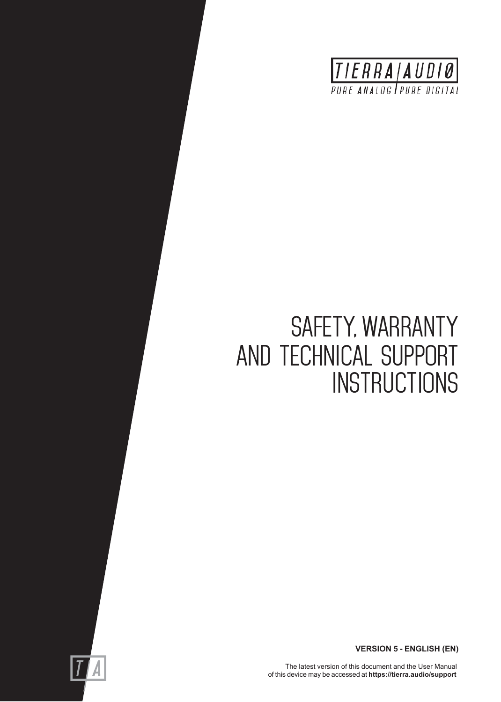

# SAFETY, WARRANTY AND TECHNICAL SUPPORT **INSTRUCTIONS**



The latest version of this document and the User Manual of this device may be accessed at **https://tierra.audio/support**

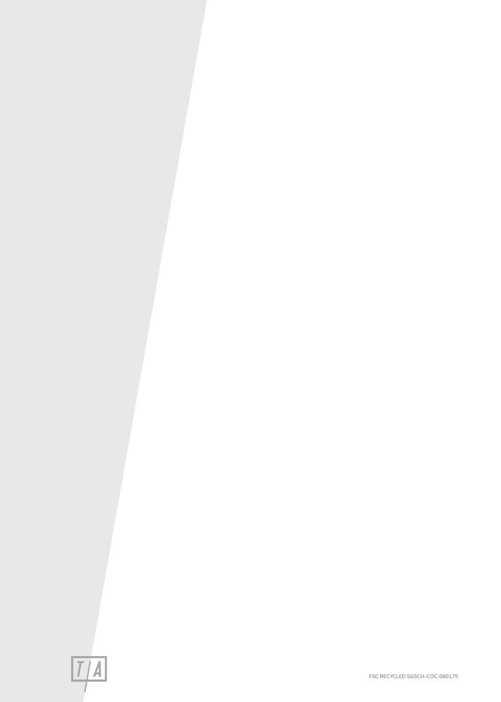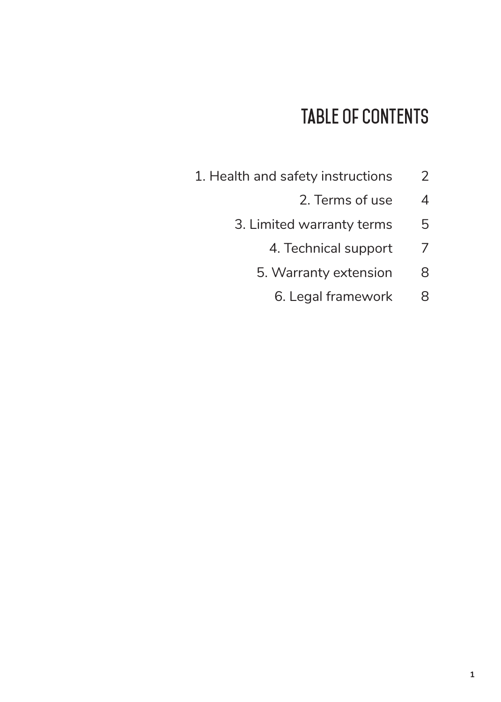### **Table of Contents**

- 1. Health and safety instructions 2
	- 2. Terms of use 4
	- 3. Limited warranty terms 5
		- 4. Technical support 7
		- 5. Warranty extension 8
			- 6. Legal framework 8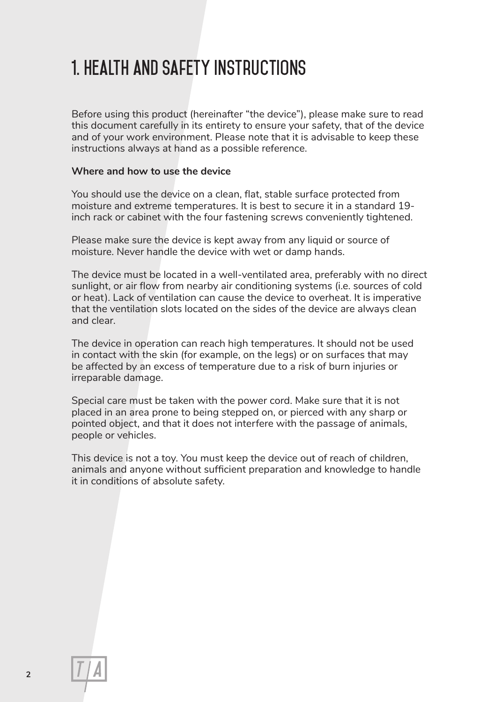### **1. health and Safety Instructions**

Before using this product (hereinafter "the device"), please make sure to read this document carefully in its entirety to ensure your safety, that of the device and of your work environment. Please note that it is advisable to keep these instructions always at hand as a possible reference.

#### **Where and how to use the device**

You should use the device on a clean, flat, stable surface protected from moisture and extreme temperatures. It is best to secure it in a standard 19 inch rack or cabinet with the four fastening screws conveniently tightened.

Please make sure the device is kept away from any liquid or source of moisture. Never handle the device with wet or damp hands.

The device must be located in a well-ventilated area, preferably with no direct sunlight, or air flow from nearby air conditioning systems (i.e. sources of cold or heat). Lack of ventilation can cause the device to overheat. It is imperative that the ventilation slots located on the sides of the device are always clean and clear.

The device in operation can reach high temperatures. It should not be used in contact with the skin (for example, on the legs) or on surfaces that may be affected by an excess of temperature due to a risk of burn injuries or irreparable damage.

Special care must be taken with the power cord. Make sure that it is not placed in an area prone to being stepped on, or pierced with any sharp or pointed object, and that it does not interfere with the passage of animals, people or vehicles.

This device is not a toy. You must keep the device out of reach of children, animals and anyone without sufficient preparation and knowledge to handle it in conditions of absolute safety.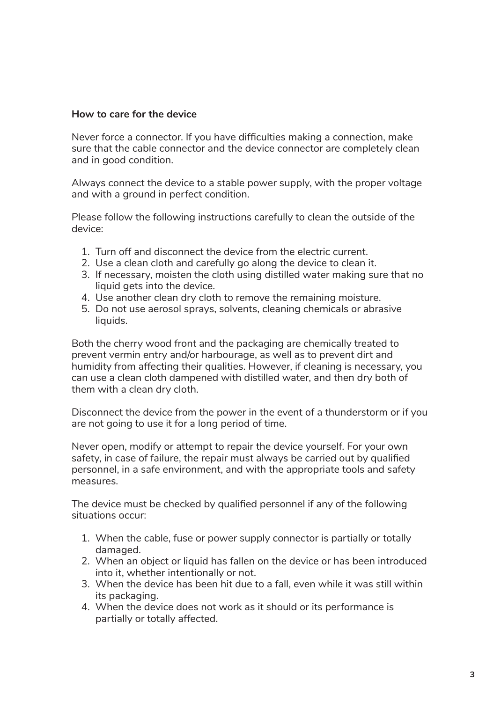#### **How to care for the device**

Never force a connector. If you have difficulties making a connection, make sure that the cable connector and the device connector are completely clean and in good condition.

Always connect the device to a stable power supply, with the proper voltage and with a ground in perfect condition.

Please follow the following instructions carefully to clean the outside of the device:

- 1. Turn off and disconnect the device from the electric current.
- 2. Use a clean cloth and carefully go along the device to clean it.
- 3. If necessary, moisten the cloth using distilled water making sure that no liquid gets into the device.
- 4. Use another clean dry cloth to remove the remaining moisture.
- 5. Do not use aerosol sprays, solvents, cleaning chemicals or abrasive liquids.

Both the cherry wood front and the packaging are chemically treated to prevent vermin entry and/or harbourage, as well as to prevent dirt and humidity from affecting their qualities. However, if cleaning is necessary, you can use a clean cloth dampened with distilled water, and then dry both of them with a clean dry cloth.

Disconnect the device from the power in the event of a thunderstorm or if you are not going to use it for a long period of time.

Never open, modify or attempt to repair the device yourself. For your own safety, in case of failure, the repair must always be carried out by qualified personnel, in a safe environment, and with the appropriate tools and safety measures.

The device must be checked by qualified personnel if any of the following situations occur:

- 1. When the cable, fuse or power supply connector is partially or totally damaged.
- 2. When an object or liquid has fallen on the device or has been introduced into it, whether intentionally or not.
- 3. When the device has been hit due to a fall, even while it was still within its packaging.
- 4. When the device does not work as it should or its performance is partially or totally affected.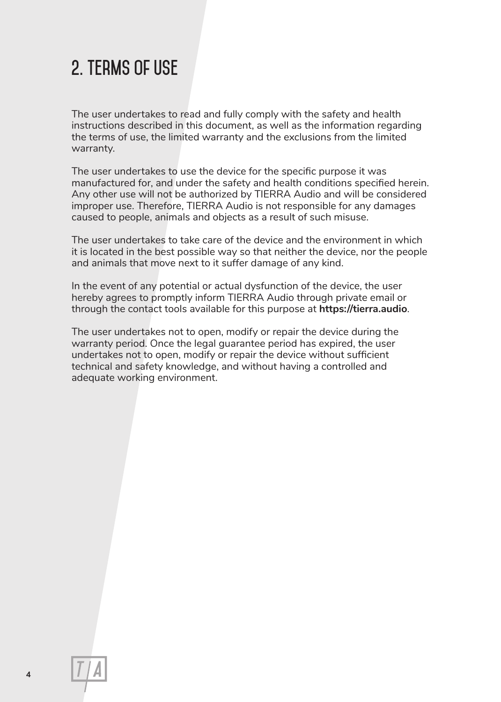### **2. terms of use**

The user undertakes to read and fully comply with the safety and health instructions described in this document, as well as the information regarding the terms of use, the limited warranty and the exclusions from the limited warranty.

The user undertakes to use the device for the specific purpose it was manufactured for, and under the safety and health conditions specified herein. Any other use will not be authorized by TIERRA Audio and will be considered improper use. Therefore, TIERRA Audio is not responsible for any damages caused to people, animals and objects as a result of such misuse.

The user undertakes to take care of the device and the environment in which it is located in the best possible way so that neither the device, nor the people and animals that move next to it suffer damage of any kind.

In the event of any potential or actual dysfunction of the device, the user hereby agrees to promptly inform TIERRA Audio through private email or through the contact tools available for this purpose at **https://tierra.audio**.

The user undertakes not to open, modify or repair the device during the warranty period. Once the legal guarantee period has expired, the user undertakes not to open, modify or repair the device without sufficient technical and safety knowledge, and without having a controlled and adequate working environment.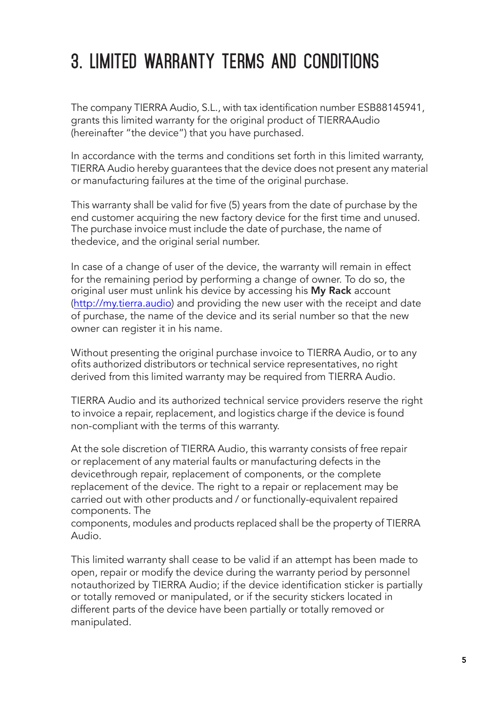# **3. LIMITED WARRANTY TERMs AND CONDITIONs**

The company TIERRA Audio, S.L., with tax identification number ESB88145941, grants this limited warranty for the original product of TIERRAAudio (hereinafter "the device") that you have purchased.

In accordance with the terms and conditions set forth in this limited warranty, TIERRA Audio hereby guarantees that the device does not present any material or manufacturing failures at the time of the original purchase.

This warranty shall be valid for five (5) years from the date of purchase by the end customer acquiring the new factory device for the first time and unused. The purchase invoice must include the date of purchase, the name of thedevice, and the original serial number.

In case of a change of user of the device, the warranty will remain in effect for the remaining period by performing a change of owner. To do so, the original user must unlink his device by accessing his My Rack account ([http://my.tierra.audio\)](http://my.tierra.audio) and providing the new user with the receipt and date of purchase, the name of the device and its serial number so that the new owner can register it in his name.

Without presenting the original purchase invoice to TIERRA Audio, or to any ofits authorized distributors or technical service representatives, no right derived from this limited warranty may be required from TIERRA Audio.

TIERRA Audio and its authorized technical service providers reserve the right to invoice a repair, replacement, and logistics charge if the device is found non-compliant with the terms of this warranty.

At the sole discretion of TIERRA Audio, this warranty consists of free repair or replacement of any material faults or manufacturing defects in the devicethrough repair, replacement of components, or the complete replacement of the device. The right to a repair or replacement may be carried out with other products and / or functionally-equivalent repaired components. The

components, modules and products replaced shall be the property of TIERRA Audio.

This limited warranty shall cease to be valid if an attempt has been made to open, repair or modify the device during the warranty period by personnel notauthorized by TIERRA Audio; if the device identification sticker is partially or totally removed or manipulated, or if the security stickers located in different parts of the device have been partially or totally removed or manipulated.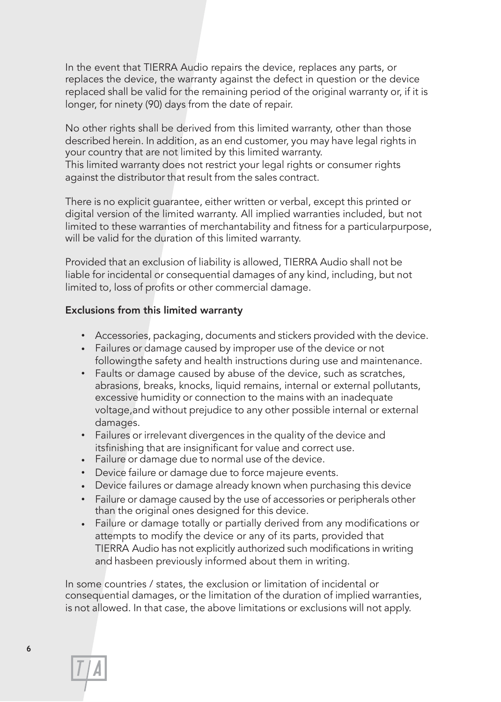In the event that TIERRA Audio repairs the device, replaces any parts, or replaces the device, the warranty against the defect in question or the device replaced shall be valid for the remaining period of the original warranty or, if it is longer, for ninety (90) days from the date of repair.

No other rights shall be derived from this limited warranty, other than those described herein. In addition, as an end customer, you may have legal rights in your country that are not limited by this limited warranty. This limited warranty does not restrict your legal rights or consumer rights against the distributor that result from the sales contract.

There is no explicit guarantee, either written or verbal, except this printed or digital version of the limited warranty. All implied warranties included, but not limited to these warranties of merchantability and fitness for a particularpurpose, will be valid for the duration of this limited warranty.

Provided that an exclusion of liability is allowed, TIERRA Audio shall not be liable for incidental or consequential damages of any kind, including, but not limited to, loss of profits or other commercial damage.

#### Exclusions from this limited warranty

- Accessories, packaging, documents and stickers provided with the device.
- Failures or damage caused by improper use of the device or not followingthe safety and health instructions during use and maintenance.
- Faults or damage caused by abuse of the device, such as scratches, abrasions, breaks, knocks, liquid remains, internal or external pollutants, excessive humidity or connection to the mains with an inadequate voltage,and without prejudice to any other possible internal or external damages.
- Failures or irrelevant divergences in the quality of the device and itsfinishing that are insignificant for value and correct use.
- Failure or damage due to normal use of the device.
- Device failure or damage due to force majeure events.
- Device failures or damage already known when purchasing this device
- Failure or damage caused by the use of accessories or peripherals other than the original ones designed for this device.
- Failure or damage totally or partially derived from any modifications or attempts to modify the device or any of its parts, provided that TIERRA Audio has not explicitly authorized such modifications in writing and hasbeen previously informed about them in writing.

In some countries / states, the exclusion or limitation of incidental or consequential damages, or the limitation of the duration of implied warranties, is not allowed. In that case, the above limitations or exclusions will not apply.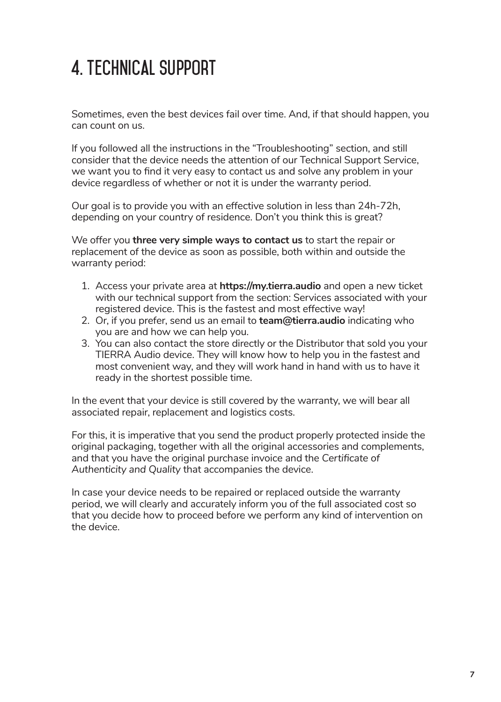## **4. Technical Support**

Sometimes, even the best devices fail over time. And, if that should happen, you can count on us.

If you followed all the instructions in the "Troubleshooting" section, and still consider that the device needs the attention of our Technical Support Service, we want you to find it very easy to contact us and solve any problem in your device regardless of whether or not it is under the warranty period.

Our goal is to provide you with an effective solution in less than 24h-72h, depending on your country of residence. Don't you think this is great?

We offer you **three very simple ways to contact us** to start the repair or replacement of the device as soon as possible, both within and outside the warranty period:

- 1. Access your private area at **https://my.tierra.audio** and open a new ticket with our technical support from the section: Services associated with your registered device. This is the fastest and most effective way!
- 2. Or, if you prefer, send us an email to **team@tierra.audio** indicating who you are and how we can help you.
- 3. You can also contact the store directly or the Distributor that sold you your TIERRA Audio device. They will know how to help you in the fastest and most convenient way, and they will work hand in hand with us to have it ready in the shortest possible time.

In the event that your device is still covered by the warranty, we will bear all associated repair, replacement and logistics costs.

For this, it is imperative that you send the product properly protected inside the original packaging, together with all the original accessories and complements, and that you have the original purchase invoice and the *Certificate of Authenticity and Quality* that accompanies the device.

In case your device needs to be repaired or replaced outside the warranty period, we will clearly and accurately inform you of the full associated cost so that you decide how to proceed before we perform any kind of intervention on the device.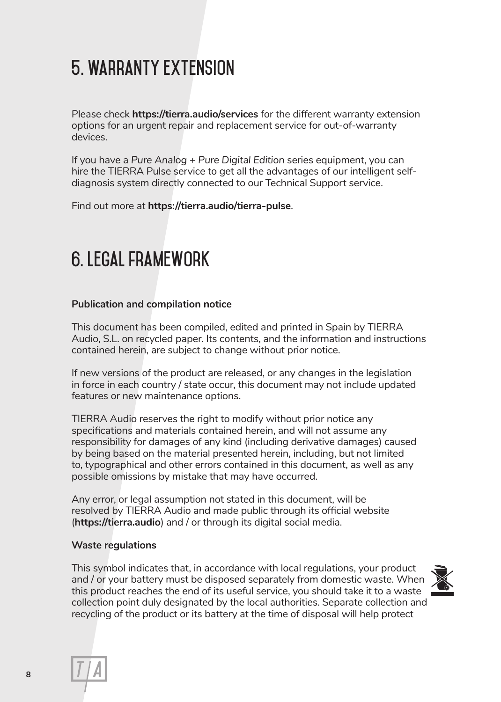# **5. Warranty extension**

Please check **https://tierra.audio/services** for the different warranty extension options for an urgent repair and replacement service for out-of-warranty devices.

If you have a *Pure Analog + Pure Digital Edition* series equipment, you can hire the TIERRA Pulse service to get all the advantages of our intelligent selfdiagnosis system directly connected to our Technical Support service.

Find out more at **https://tierra.audio/tierra-pulse**.

### **6. Legal framework**

#### **Publication and compilation notice**

This document has been compiled, edited and printed in Spain by TIERRA Audio, S.L. on recycled paper. Its contents, and the information and instructions contained herein, are subject to change without prior notice.

If new versions of the product are released, or any changes in the legislation in force in each country / state occur, this document may not include updated features or new maintenance options.

TIERRA Audio reserves the right to modify without prior notice any specifications and materials contained herein, and will not assume any responsibility for damages of any kind (including derivative damages) caused by being based on the material presented herein, including, but not limited to, typographical and other errors contained in this document, as well as any possible omissions by mistake that may have occurred.

Any error, or legal assumption not stated in this document, will be resolved by TIERRA Audio and made public through its official website (**https://tierra.audio**) and / or through its digital social media.

#### **Waste regulations**

This symbol indicates that, in accordance with local regulations, your product and / or your battery must be disposed separately from domestic waste. When this product reaches the end of its useful service, you should take it to a waste collection point duly designated by the local authorities. Separate collection and recycling of the product or its battery at the time of disposal will help protect



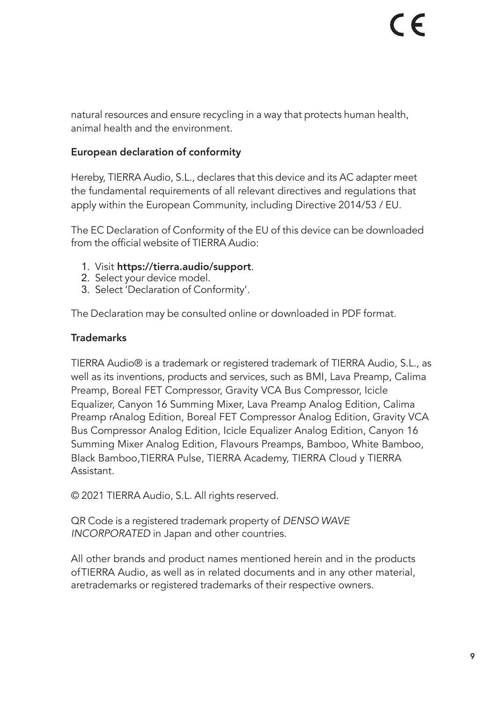natural resources and ensure recycling in a way that protects human health, animal health and the environment.

#### European declaration of conformity

Hereby, TIERRA Audio, S.L., declares that this device and its AC adapter meet the fundamental requirements of all relevant directives and regulations that apply within the European Community, including Directive 2014/53 / EU.

The EC Declaration of Conformity of the EU of this device can be downloaded from the official website of TIERRA Audio:

- 1. Visit https://tierra.audio/support.
- 2. Select your device model.
- 3. Select 'Declaration of Conformity'.

The Declaration may be consulted online or downloaded in PDF format.

#### **Trademarks**

TIERRA Audio® is a trademark or registered trademark of TIERRA Audio, S.L., as well as its inventions, products and services, such as BMI, Lava Preamp, Calima Preamp, Boreal FET Compressor, Gravity VCA Bus Compressor, Icicle Equalizer, Canyon 16 Summing Mixer, Lava Preamp Analog Edition, Calima Preamp rAnalog Edition, Boreal FET Compressor Analog Edition, Gravity VCA Bus Compressor Analog Edition, Icicle Equalizer Analog Edition, Canyon 16 Summing Mixer Analog Edition, Flavours Preamps, Bamboo, White Bamboo, Black Bamboo,TIERRA Pulse, TIERRA Academy, TIERRA Cloud y TIERRA Assistant.

© 2021 TIERRA Audio, S.L. All rights reserved.

QR Code is a registered trademark property of *DENSO WAVE INCORPORATED* in Japan and other countries.

All other brands and product names mentioned herein and in the products ofTIERRA Audio, as well as in related documents and in any other material, aretrademarks or registered trademarks of their respective owners.